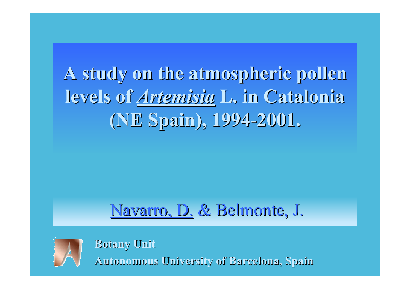**A study on the atmospheric pollen A study on the atmospheric pollen levels of levels of** *Artemisia Artemisia* **L. in Catalonia Catalonia (NE Spain), 1994-2001. (NE Spain), 1994-2001.**

### Navarro, D. & Belmonte, J.



**Botany Unit Botany Unit Autonomous University of Autonomous University of Barcelona, Barcelona, Spain**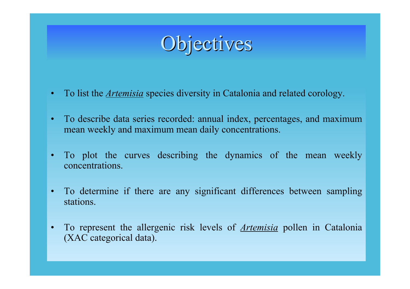# Objectives

- •To list the *Artemisia* species diversity in Catalonia and related corology.
- • To describe data series recorded: annual index, percentages, and maximum mean weekly and maximum mean daily concentrations.
- • To plot the curves describing the dynamics of the mean weekly concentrations.
- • To determine if there are any significant differences between sampling stations.
- • To represent the allergenic risk levels of *Artemisia* pollen in Catalonia (XAC categorical data).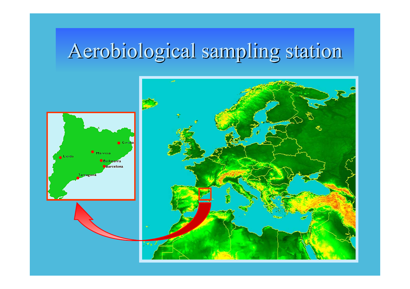# Aerobiological sampling station

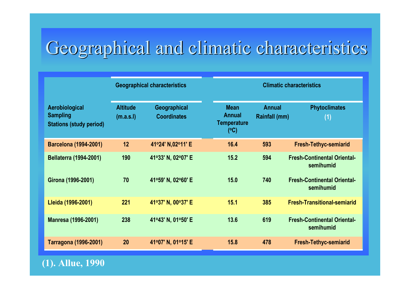### Geographical and climatic characteristics

|                                                                     | <b>Geographical characteristics</b> |                                    | <b>Climatic characteristics</b>                           |                                       |                                                 |  |  |
|---------------------------------------------------------------------|-------------------------------------|------------------------------------|-----------------------------------------------------------|---------------------------------------|-------------------------------------------------|--|--|
| Aerobiological<br><b>Sampling</b><br><b>Stations (study period)</b> | <b>Altitude</b><br>(m.a.s.l)        | Geographical<br><b>Coordinates</b> | <b>Mean</b><br><b>Annual</b><br><b>Temperature</b><br>(C) | <b>Annual</b><br><b>Rainfall (mm)</b> | <b>Phytoclimates</b><br>(1)                     |  |  |
| <b>Barcelona (1994-2001)</b>                                        | 12                                  | 41°24' N,02°11' E                  | 16.4                                                      | 593                                   | <b>Fresh-Tethyc-semiarid</b>                    |  |  |
| <b>Bellaterra (1994-2001)</b>                                       | 190                                 | 41°33' N, 02°07' E                 | 15.2                                                      | 594                                   | <b>Fresh-Continental Oriental-</b><br>semihumid |  |  |
| Girona (1996-2001)                                                  | 70                                  | 41°59' N, 02°60' E                 | 15.0                                                      | 740                                   | <b>Fresh-Continental Oriental-</b><br>semihumid |  |  |
| Lleida (1996-2001)                                                  | 221                                 | 41°37' N, 00°37' E                 | 15.1                                                      | 385                                   | <b>Fresh-Transitional-semiarid</b>              |  |  |
| <b>Manresa (1996-2001)</b>                                          | 238                                 | 41°43' N, 01°50' E                 | 13.6                                                      | 619                                   | <b>Fresh-Continental Oriental-</b><br>semihumid |  |  |
| Tarragona (1996-2001)                                               | 20                                  | 41°07' N, 01°15' E                 | 15.8                                                      | 478                                   | <b>Fresh-Tethyc-semiarid</b>                    |  |  |

#### **(1). Allue, 1990**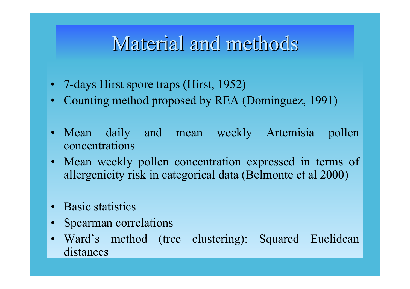### Material and methods

- 7-days Hirst spore traps (Hirst, 1952)
- Counting method proposed by REA (Domínguez, 1991)
- Mean daily and mean weekly Artemisia pollen concentrations
- • Mean weekly pollen concentration expressed in terms of allergenicity risk in categorical data (Belmonte et al 2000)
- •**Basic statistics**
- •Spearman correlations
- • Ward's method (tree clustering): Squared Euclidean distances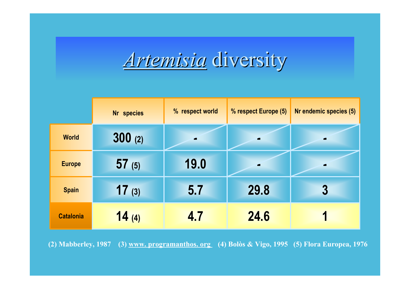*Artemisia Artemisia* diversity diversity

|                  | Nr species | % respect world | % respect Europe (5) | Nr endemic species (5) |
|------------------|------------|-----------------|----------------------|------------------------|
| <b>World</b>     | 300(2)     |                 | ▱                    |                        |
| <b>Europe</b>    | 57(5)      | 19.0            | O                    |                        |
| <b>Spain</b>     | 17(3)      | 5.7             | 29.8                 | $\boldsymbol{3}$       |
| <b>Catalonia</b> | 14(4)      | 4.7             | 24.6                 |                        |

**(2) Mabberley, 1987 (3) www. programanthos. org (4) Bolòs & Vigo, 1995 (5) Flora Europea, 1976**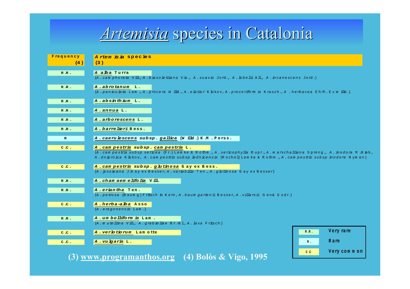#### *Artemisia* species in Catalonia

| Frequency    | Artem is ia species                                                                                                                                                                                                                                                                  |
|--------------|--------------------------------------------------------------------------------------------------------------------------------------------------------------------------------------------------------------------------------------------------------------------------------------|
| (4)          | (3)                                                                                                                                                                                                                                                                                  |
| RR.          | A alba Turra<br>(A. cam phorata Vill., A. biaso lettiana Vis., A. suavis Jord., A. lobe lii All., A. incanescens Jord.)                                                                                                                                                              |
| RR.          | A.abrotanum L.<br>(A. paniculata Lam., A. procera Willd., A. elatior K. bkov, A. proceriform is Krasch., A. herbacea Ehrh. ExWilld.)                                                                                                                                                 |
| RR.          | A.absinthium L.                                                                                                                                                                                                                                                                      |
| RR.          | A.annua L.                                                                                                                                                                                                                                                                           |
| RR.          | A.arborescens L.                                                                                                                                                                                                                                                                     |
| RR.          | <b>A.barrelieri</b> Bess.                                                                                                                                                                                                                                                            |
| $\mathbb{R}$ | A. caerulescens subsp. gallica (Willd.) K.M. Perss.                                                                                                                                                                                                                                  |
| C.C.         | A. cam pestris subsp. cam pestris L.<br>(A. cam pestris subsp sericea (Fr.) Lem ke & Rothm., A. sericophylla Rupr., A. marschalliana Spreng., A. inodora M. Bieb,<br>A.dniproica K.bkov, A.cam pestris subsp lednicensis (Rochel) Lemke & Rothm., A.cam pestris subsp inodora Nyman) |
| C.C.         | A. cam pestris subsp. glutinosa Gay ex Bess.<br>(A. jussieana J. Gay ex Besser, A. variabilis Ten., A. ghutinosa Gay ex Besser)                                                                                                                                                      |
| RR.          | A.chamaemelifolia Vill.                                                                                                                                                                                                                                                              |
| RR.          | A.eriantha Ten.<br>(A.petrosa (Baum q) Fritsch in Kem, A.baum gartenii Besser, A.villarsii Gen& Godr.)                                                                                                                                                                               |
| C.C.         | A.herba-alba Asso<br>$(A \cdot \text{argonensis}$ Lam.)                                                                                                                                                                                                                              |
| RR.          | A.umbelliform is Lam.<br>(A.mutellina Vill., A.grabiellae Br.-Bl., A.laxa Fritsch)                                                                                                                                                                                                   |
| C.C.         | Very rare<br>$R$ $R$ .<br>A. verlotiorum Lamotte                                                                                                                                                                                                                                     |
| C.C.         | Rare<br>A.vulgaris L.<br>$R$ .                                                                                                                                                                                                                                                       |
| $\bf(3)$     | Very common<br>$C$ $C$<br>www.programanthos.org (4) Bolòs & Vigo, 1995                                                                                                                                                                                                               |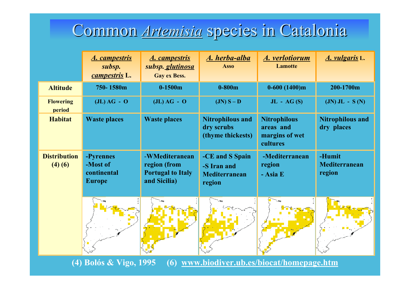## Common *Artemisia* species in Catalonia

|                                                                                    | <b>A.</b> campestris<br>subsp.<br>campestris L.       | <u>A. campestris</u><br>subsp. <i>glutinosa</i><br><b>Gay ex Bess.</b>     | A. herba-alba<br><b>Asso</b>                                     | A. verlotiorum<br><b>Lamotte</b>                               | A. vulgaris L.                        |  |  |
|------------------------------------------------------------------------------------|-------------------------------------------------------|----------------------------------------------------------------------------|------------------------------------------------------------------|----------------------------------------------------------------|---------------------------------------|--|--|
| <b>Altitude</b>                                                                    | 750-1580m                                             | $0-1500m$                                                                  | $0-800m$                                                         | $0-600(1400)m$                                                 | 200-1700m                             |  |  |
| <b>Flowering</b><br>period                                                         | $J(L) AG - O$                                         | $J(L) AG - O$                                                              | $JN) S - D$                                                      | $JL - AG(S)$                                                   | $(JN)$ JL - S $(N)$                   |  |  |
| <b>Habitat</b>                                                                     | <b>Waste places</b>                                   | <b>Waste places</b>                                                        | <b>Nitrophilous and</b><br>dry scrubs<br>(thyme thickests)       | <b>Nitrophilous</b><br>areas and<br>margins of wet<br>cultures | <b>Nitrophilous and</b><br>dry places |  |  |
| <b>Distribution</b><br>(4)(6)                                                      | -Pyrennes<br>-Most of<br>continental<br><b>Europe</b> | -WMediteranean<br>region (from<br><b>Portugal to Italy</b><br>and Sicilia) | -CE and S Spain<br>-S Iran and<br><b>Mediterranean</b><br>region | -Mediterranean<br>region<br>- Asia E                           | -Humit<br>Mediterranean<br>region     |  |  |
|                                                                                    |                                                       |                                                                            |                                                                  |                                                                |                                       |  |  |
| (4) Bolós & Vigo, 1995<br>www.biodiver.ub.es/biocat/homepage.htm<br>$\overline{6}$ |                                                       |                                                                            |                                                                  |                                                                |                                       |  |  |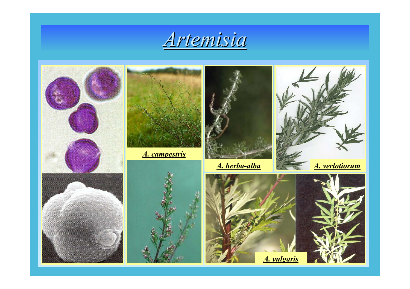

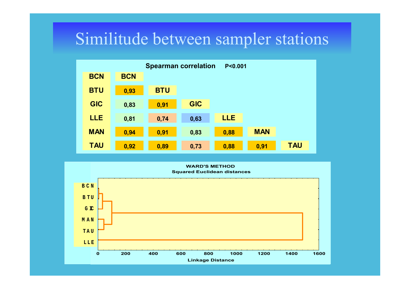#### Similitude between sampler stations



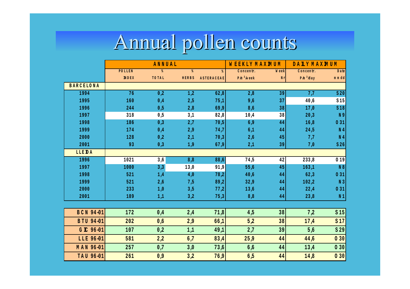# Annual pollen counts Annual pollen counts

|                  | ANNUAL        |                            |                            |            | W EEKLY MAXMUM |       | DALY MAXMUM   |                 |
|------------------|---------------|----------------------------|----------------------------|------------|----------------|-------|---------------|-----------------|
|                  | <b>POLLEN</b> | $\boldsymbol{\mathcal{E}}$ | $\boldsymbol{\mathcal{E}}$ | %          | Concentr.      | W eek | Concentr.     | Date            |
|                  | <b>INDEX</b>  | TO TAL                     | HERBS                      | ASTERACEAE | $P/m3/w$ eek   | N r   | $P/m^3$ $day$ | mmdd            |
| <b>BARCELONA</b> |               |                            |                            |            |                |       |               |                 |
| 1994             | 76            | 0,2                        | 1,2                        | 62,8       | 2,8            | 39    | 7,7           | S <sub>20</sub> |
| 1995             | 160           | 0,4                        | 2,5                        | 75,1       | 9,6            | 37    | 40,6          | S15             |
| 1996             | 244           | 0,5                        | 2,8                        | 69,9       | 8,6            | 38    | 17,0          | S18             |
| 1997             | 318           | 0,5                        | 3,1                        | 82,8       | 10A            | 38    | 20,3          | N 9             |
| 1998             | 186           | 0,3                        | 2,7                        | 70,5       | 6,9            | 44    | 16,8          | 031             |
| 1999             | 174           | 0,4                        | 2,9                        | 74,7       | 6,1            | 44    | 24,5          | N <sub>4</sub>  |
| 2000             | 128           | 0,2                        | 2,1                        | 70,3       | 2,6            | 45    | 7,7           | N <sub>4</sub>  |
| 2001             | 93            | 0,3                        | 1,9                        | 67,9       | 2,1            | 39    | 7,0           | S <sub>26</sub> |
| <b>LLEDA</b>     |               |                            |                            |            |                |       |               |                 |
| 1996             | 1021          | 3,6                        | 8,8                        | 88,6       | 74,5           | 42    | 233,8         | 019             |
| 1997             | 1000          | 3,3                        | 13,0                       | 91,9       | 55,6           | 45    | 163,1         | N 8             |
| 1998             | 521           | 1A                         | 4,0                        | 78,2       | 40,6           | 44    | 62,3          | 0 31            |
| 1999             | 521           | 2,6                        | 7,5                        | 89,2       | 32,9           | 44    | 102,2         | N <sub>3</sub>  |
| 2000             | 233           | 1,0                        | 3,5                        | 77,2       | 13,6           | 44    | 22A           | 031             |
| 2001             | 189           | 1,1                        | 3,2                        | 75,3       | 8,8            | 44    | 23,8          | N <sub>1</sub>  |
|                  |               |                            |                            |            |                |       |               |                 |
| BCN 94-01        | 172           | 0A                         | 2A                         | 71,8       | 4,5            | 38    | 7,2           | S <sub>15</sub> |
| BTU 94-01        | 202           | 0,6                        | 2,9                        | 66,1       | 5,2            | 38    | 17A           | S <sub>17</sub> |
| G IC 96-01       | 107           | 0,2                        | 1,1                        | 49,1       | 2,7            | 39    | 5,6           | S29             |
| LLE 96-01        | 581           | 2,2                        | 6,7                        | 83A        | 25,9           | 44    | 44,6          | 030             |
| MAN 96-01        | 257           | 0,7                        | 3,0                        | 73,6       | 6,6            | 44    | 13A           | 030             |
| TAU 96-01        | 261           | 0,9                        | 3,2                        | 76,9       | 6,5            | 44    | 14,8          | 030             |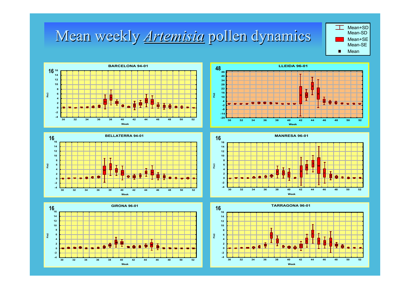#### Mean weekly **Artemisia** pollen dynamics













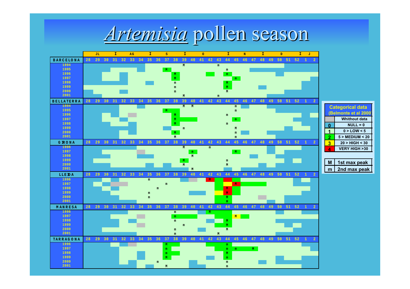

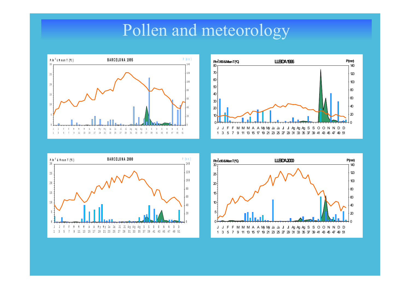#### Pollen and meteorology







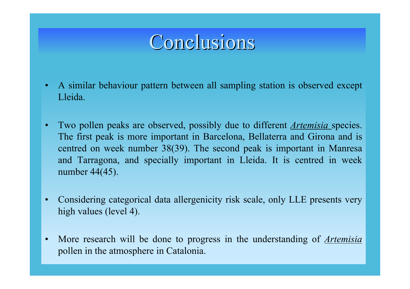### Conclusions Conclusions

- • A similar behaviour pattern between all sampling station is observed except Lleida.
- • Two pollen peaks are observed, possibly due to different *Artemisia* species. The first peak is more important in Barcelona, Bellaterra and Girona and is centred on week number 38(39). The second peak is important in Manresa and Tarragona, and specially important in Lleida. It is centred in week number 44(45).
- • Considering categorical data allergenicity risk scale, only LLE presents very high values (level 4).
- • More research will be done to progress in the understanding of *Artemisia* pollen in the atmosphere in Catalonia.